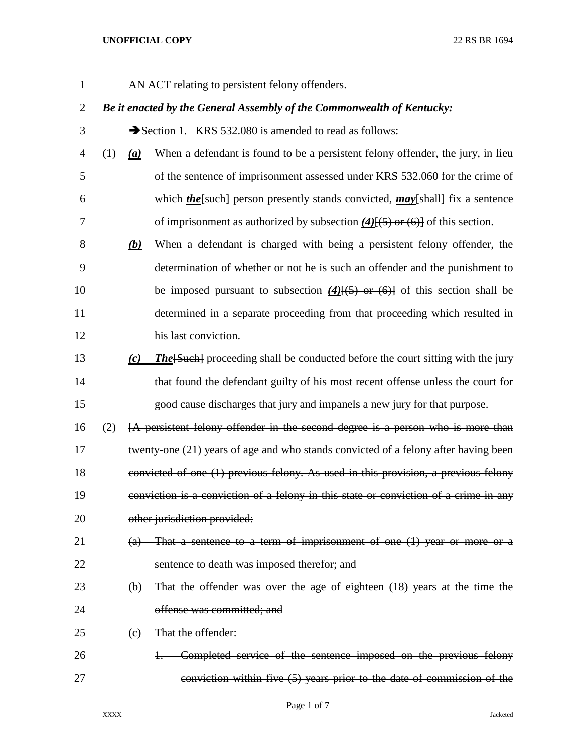AN ACT relating to persistent felony offenders.

# *Be it enacted by the General Assembly of the Commonwealth of Kentucky:*

3 Section 1. KRS 532.080 is amended to read as follows:

- (1) *(a)* When a defendant is found to be a persistent felony offender, the jury, in lieu of the sentence of imprisonment assessed under KRS 532.060 for the crime of 6 which *the* [such] person presently stands convicted, *may*[shall] fix a sentence of imprisonment as authorized by subsection *(4)*[(5) or (6)] of this section.
- *(b)* When a defendant is charged with being a persistent felony offender, the determination of whether or not he is such an offender and the punishment to 10 be imposed pursuant to subsection (4)<del>[(5) or (6)]</del> of this section shall be determined in a separate proceeding from that proceeding which resulted in his last conviction.
- *(c) The*[Such] proceeding shall be conducted before the court sitting with the jury that found the defendant guilty of his most recent offense unless the court for good cause discharges that jury and impanels a new jury for that purpose.
- (2) [A persistent felony offender in the second degree is a person who is more than 17 twenty-one (21) years of age and who stands convicted of a felony after having been convicted of one (1) previous felony. As used in this provision, a previous felony conviction is a conviction of a felony in this state or conviction of a crime in any 20 other jurisdiction provided:

# (a) That a sentence to a term of imprisonment of one (1) year or more or a sentence to death was imposed therefor; and

- (b) That the offender was over the age of eighteen (18) years at the time the offense was committed; and
- 25 (e) That the offender:
- 1. Completed service of the sentence imposed on the previous felony conviction within five (5) years prior to the date of commission of the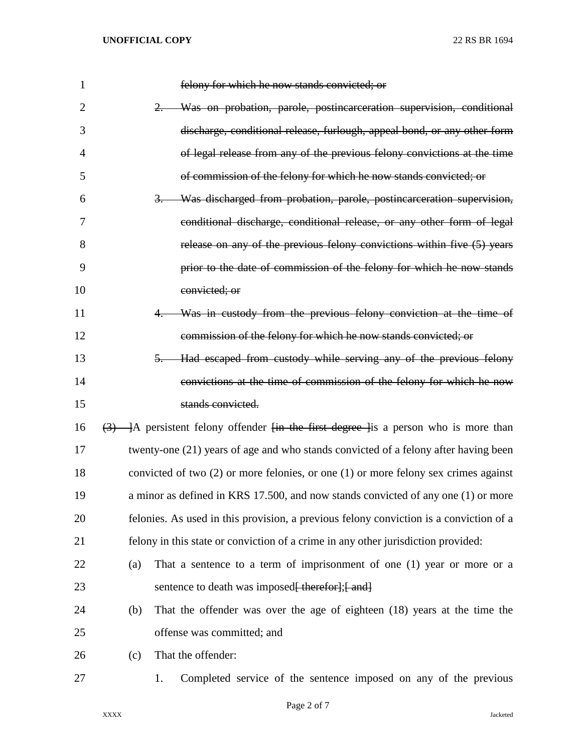| $\mathbf{1}$ | felony for which he now stands convicted; or                                                                    |
|--------------|-----------------------------------------------------------------------------------------------------------------|
| 2            | 2. Was on probation, parole, postincarceration supervision, conditional                                         |
| 3            | discharge, conditional release, furlough, appeal bond, or any other form                                        |
| 4            | of legal release from any of the previous felony convictions at the time                                        |
| 5            | of commission of the felony for which he now stands convicted; or                                               |
| 6            | 3. Was discharged from probation, parole, postincarceration supervision,                                        |
| 7            | conditional discharge, conditional release, or any other form of legal                                          |
| 8            | release on any of the previous felony convictions within five (5) years                                         |
| 9            | prior to the date of commission of the felony for which he now stands                                           |
| 10           | convicted; or                                                                                                   |
| 11           | Was in custody from the previous felony conviction at the time of                                               |
| 12           | commission of the felony for which he now stands convicted; or                                                  |
| 13           | Had escaped from custody while serving any of the previous felony<br>$5-$                                       |
| 14           | convictions at the time of commission of the felony for which he now                                            |
| 15           | stands convicted.                                                                                               |
| 16           | $\overline{(3)}$ - ]A persistent felony offender <del>[in the first degree ]</del> is a person who is more than |
| 17           | twenty-one (21) years of age and who stands convicted of a felony after having been                             |
| 18           | convicted of two $(2)$ or more felonies, or one $(1)$ or more felony sex crimes against                         |
| 19           | a minor as defined in KRS 17.500, and now stands convicted of any one (1) or more                               |
| 20           | felonies. As used in this provision, a previous felony conviction is a conviction of a                          |
| 21           | felony in this state or conviction of a crime in any other jurisdiction provided:                               |
| 22           | That a sentence to a term of imprisonment of one $(1)$ year or more or a<br>(a)                                 |
| 23           | sentence to death was imposed <del>[ therefor];[ and]</del>                                                     |
| 24           | That the offender was over the age of eighteen (18) years at the time the<br>(b)                                |
| 25           | offense was committed; and                                                                                      |
| 26           | That the offender:<br>(c)                                                                                       |
| 27           | Completed service of the sentence imposed on any of the previous<br>1.                                          |
|              |                                                                                                                 |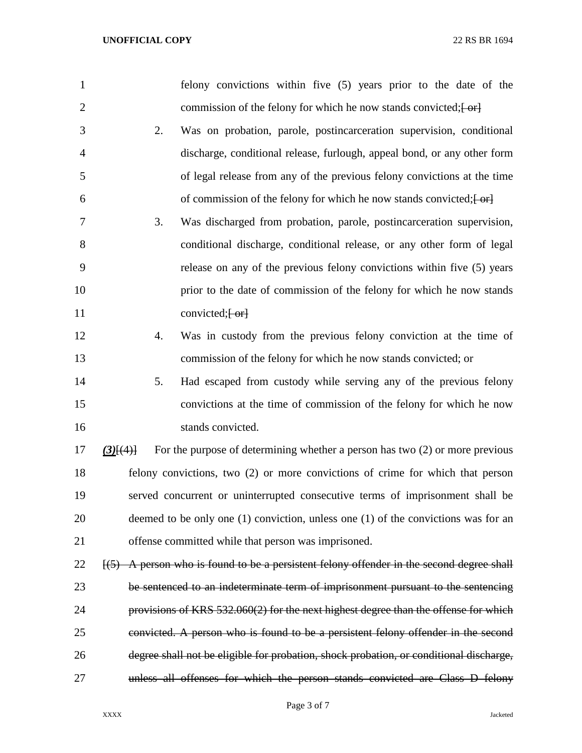| $\mathbf{1}$   |             |    | felony convictions within five (5) years prior to the date of the                               |
|----------------|-------------|----|-------------------------------------------------------------------------------------------------|
| $\overline{2}$ |             |    | commission of the felony for which he now stands convicted; $\left\{ \frac{\alpha}{2} \right\}$ |
| 3              |             | 2. | Was on probation, parole, postincarceration supervision, conditional                            |
| 4              |             |    | discharge, conditional release, furlough, appeal bond, or any other form                        |
| 5              |             |    | of legal release from any of the previous felony convictions at the time                        |
| 6              |             |    | of commission of the felony for which he now stands convicted; $\left\{\text{-or}\right\}$      |
| 7              |             | 3. | Was discharged from probation, parole, postincarceration supervision,                           |
| 8              |             |    | conditional discharge, conditional release, or any other form of legal                          |
| 9              |             |    | release on any of the previous felony convictions within five (5) years                         |
| 10             |             |    | prior to the date of commission of the felony for which he now stands                           |
| 11             |             |    | convicted; $\overline{\leftarrow}$                                                              |
| 12             |             | 4. | Was in custody from the previous felony conviction at the time of                               |
| 13             |             |    | commission of the felony for which he now stands convicted; or                                  |
| 14             |             | 5. | Had escaped from custody while serving any of the previous felony                               |
| 15             |             |    | convictions at the time of commission of the felony for which he now                            |
| 16             |             |    | stands convicted.                                                                               |
| 17             | $(3)$ $(4)$ |    | For the purpose of determining whether a person has two $(2)$ or more previous                  |
| 18             |             |    | felony convictions, two (2) or more convictions of crime for which that person                  |
| 19             |             |    | served concurrent or uninterrupted consecutive terms of imprisonment shall be                   |
| 20             |             |    | deemed to be only one $(1)$ conviction, unless one $(1)$ of the convictions was for an          |
| 21             |             |    | offense committed while that person was imprisoned.                                             |
| 22             |             |    | $(5)$ A person who is found to be a persistent felony offender in the second degree shall       |
| 23             |             |    | be sentenced to an indeterminate term of imprisonment pursuant to the sentencing                |
| 24             |             |    | provisions of KRS $532.060(2)$ for the next highest degree than the offense for which           |
| 25             |             |    | convicted. A person who is found to be a persistent felony offender in the second               |
| 26             |             |    | degree shall not be eligible for probation, shock probation, or conditional discharge,          |
| 27             |             |    | unless all offenses for which the person stands convicted are Class D felony                    |
|                |             |    |                                                                                                 |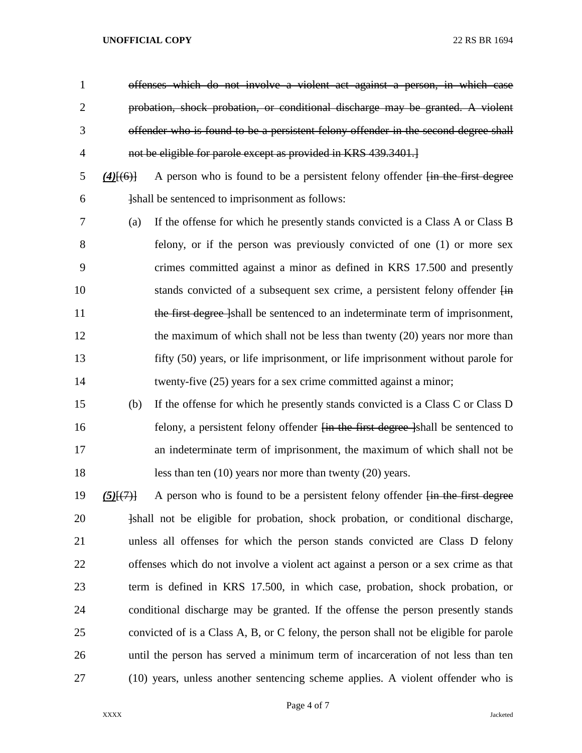offenses which do not involve a violent act against a person, in which case probation, shock probation, or conditional discharge may be granted. A violent offender who is found to be a persistent felony offender in the second degree shall not be eligible for parole except as provided in KRS 439.3401.]

- *(4)*[(6)] A person who is found to be a persistent felony offender [in the first degree **Ishall be sentenced to imprisonment as follows:**
- (a) If the offense for which he presently stands convicted is a Class A or Class B felony, or if the person was previously convicted of one (1) or more sex crimes committed against a minor as defined in KRS 17.500 and presently 10 stands convicted of a subsequent sex crime, a persistent felony offender  $\overline{f}$ 11 the first degree [shall be sentenced to an indeterminate term of imprisonment, 12 the maximum of which shall not be less than twenty (20) years nor more than fifty (50) years, or life imprisonment, or life imprisonment without parole for 14 twenty-five (25) years for a sex crime committed against a minor;
- (b) If the offense for which he presently stands convicted is a Class C or Class D 16 felony, a persistent felony offender <del>[in the first degree ]</del>shall be sentenced to an indeterminate term of imprisonment, the maximum of which shall not be 18 less than ten (10) years nor more than twenty (20) years.
- *(5)*[(7)] A person who is found to be a persistent felony offender [in the first degree 20  $\frac{1}{20}$   $\frac{1}{20}$   $\frac{1}{20}$   $\frac{1}{20}$   $\frac{1}{20}$   $\frac{1}{20}$   $\frac{1}{20}$   $\frac{1}{20}$   $\frac{1}{20}$   $\frac{1}{20}$   $\frac{1}{20}$   $\frac{1}{20}$   $\frac{1}{20}$   $\frac{1}{20}$   $\frac{1}{20}$   $\frac{1}{20}$   $\frac{1}{20}$   $\frac{1}{20}$   $\frac{1}{20}$   $\frac{1}{20}$  unless all offenses for which the person stands convicted are Class D felony offenses which do not involve a violent act against a person or a sex crime as that term is defined in KRS 17.500, in which case, probation, shock probation, or conditional discharge may be granted. If the offense the person presently stands convicted of is a Class A, B, or C felony, the person shall not be eligible for parole until the person has served a minimum term of incarceration of not less than ten (10) years, unless another sentencing scheme applies. A violent offender who is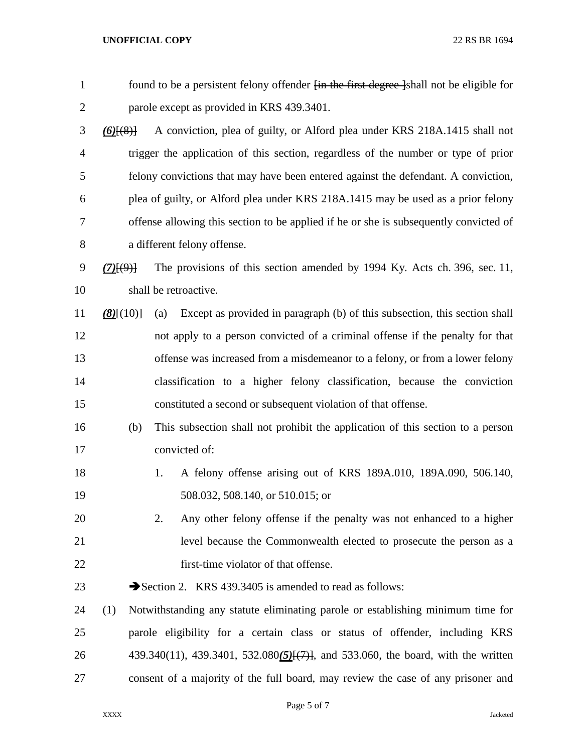| $\mathbf{1}$   | found to be a persistent felony offender <i>fin</i> the first degree lshall not be eligible for |                                                                                    |  |  |  |  |
|----------------|-------------------------------------------------------------------------------------------------|------------------------------------------------------------------------------------|--|--|--|--|
| $\overline{2}$ | parole except as provided in KRS 439.3401.                                                      |                                                                                    |  |  |  |  |
| 3              | $(6)$ $(8)$ }                                                                                   | A conviction, plea of guilty, or Alford plea under KRS 218A.1415 shall not         |  |  |  |  |
| 4              |                                                                                                 | trigger the application of this section, regardless of the number or type of prior |  |  |  |  |
| 5              |                                                                                                 | felony convictions that may have been entered against the defendant. A conviction, |  |  |  |  |
| 6              | plea of guilty, or Alford plea under KRS 218A.1415 may be used as a prior felony                |                                                                                    |  |  |  |  |
| 7              | offense allowing this section to be applied if he or she is subsequently convicted of           |                                                                                    |  |  |  |  |
| 8              | a different felony offense.                                                                     |                                                                                    |  |  |  |  |
| 9              | $(7)$ $(9)$ }                                                                                   | The provisions of this section amended by 1994 Ky. Acts ch. 396, sec. 11,          |  |  |  |  |
| 10             | shall be retroactive.                                                                           |                                                                                    |  |  |  |  |
| 11             | $(8)$ $\{ (40)$                                                                                 | Except as provided in paragraph (b) of this subsection, this section shall<br>(a)  |  |  |  |  |
| 12             |                                                                                                 | not apply to a person convicted of a criminal offense if the penalty for that      |  |  |  |  |
| 13             |                                                                                                 | offense was increased from a misdemeanor to a felony, or from a lower felony       |  |  |  |  |
| 14             |                                                                                                 | classification to a higher felony classification, because the conviction           |  |  |  |  |
| 15             |                                                                                                 | constituted a second or subsequent violation of that offense.                      |  |  |  |  |
| 16             | (b)                                                                                             | This subsection shall not prohibit the application of this section to a person     |  |  |  |  |
| 17             |                                                                                                 | convicted of:                                                                      |  |  |  |  |
| 18             |                                                                                                 | A felony offense arising out of KRS 189A.010, 189A.090, 506.140,<br>1.             |  |  |  |  |
| 19             |                                                                                                 | 508.032, 508.140, or 510.015; or                                                   |  |  |  |  |
| 20             |                                                                                                 | Any other felony offense if the penalty was not enhanced to a higher<br>2.         |  |  |  |  |
| 21             |                                                                                                 | level because the Commonwealth elected to prosecute the person as a                |  |  |  |  |
| 22             |                                                                                                 | first-time violator of that offense.                                               |  |  |  |  |
| 23             |                                                                                                 | Section 2. KRS 439.3405 is amended to read as follows:                             |  |  |  |  |
| 24             | (1)                                                                                             | Notwithstanding any statute eliminating parole or establishing minimum time for    |  |  |  |  |
| 25             |                                                                                                 | parole eligibility for a certain class or status of offender, including KRS        |  |  |  |  |
| 26             |                                                                                                 | 439.340(11), 439.3401, 532.080(5)[(7)], and 533.060, the board, with the written   |  |  |  |  |
| 27             |                                                                                                 | consent of a majority of the full board, may review the case of any prisoner and   |  |  |  |  |
|                |                                                                                                 |                                                                                    |  |  |  |  |

Page 5 of 7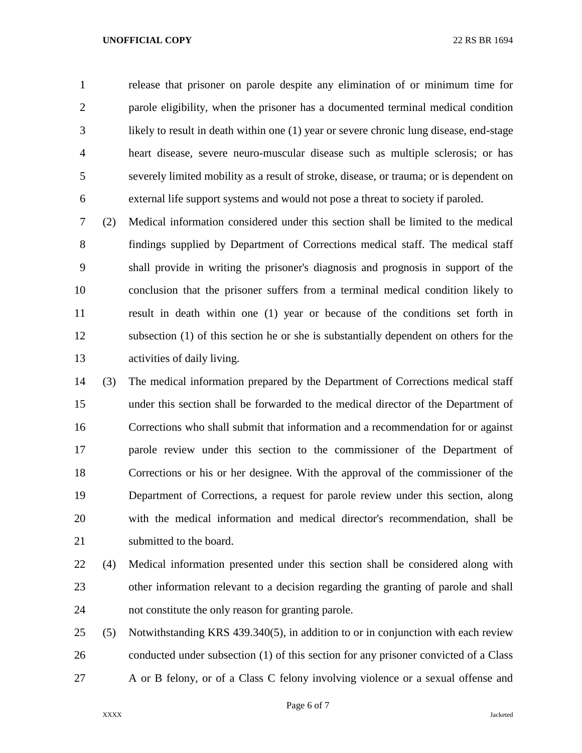release that prisoner on parole despite any elimination of or minimum time for parole eligibility, when the prisoner has a documented terminal medical condition likely to result in death within one (1) year or severe chronic lung disease, end-stage heart disease, severe neuro-muscular disease such as multiple sclerosis; or has severely limited mobility as a result of stroke, disease, or trauma; or is dependent on external life support systems and would not pose a threat to society if paroled.

 (2) Medical information considered under this section shall be limited to the medical findings supplied by Department of Corrections medical staff. The medical staff shall provide in writing the prisoner's diagnosis and prognosis in support of the conclusion that the prisoner suffers from a terminal medical condition likely to result in death within one (1) year or because of the conditions set forth in subsection (1) of this section he or she is substantially dependent on others for the activities of daily living.

 (3) The medical information prepared by the Department of Corrections medical staff under this section shall be forwarded to the medical director of the Department of Corrections who shall submit that information and a recommendation for or against parole review under this section to the commissioner of the Department of Corrections or his or her designee. With the approval of the commissioner of the Department of Corrections, a request for parole review under this section, along with the medical information and medical director's recommendation, shall be 21 submitted to the board.

 (4) Medical information presented under this section shall be considered along with other information relevant to a decision regarding the granting of parole and shall not constitute the only reason for granting parole.

 (5) Notwithstanding KRS 439.340(5), in addition to or in conjunction with each review conducted under subsection (1) of this section for any prisoner convicted of a Class A or B felony, or of a Class C felony involving violence or a sexual offense and

Page 6 of 7